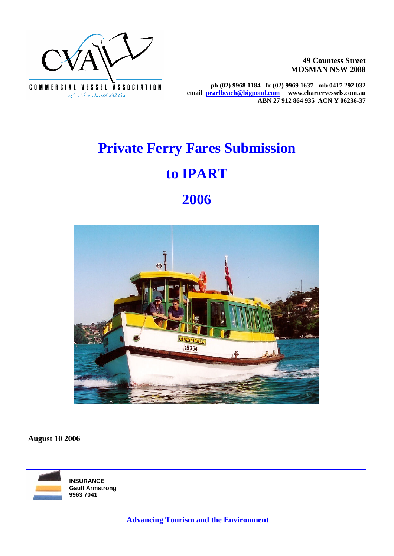

 $\overline{a}$ 

**49 Countess Street MOSMAN NSW 2088**

**ph (02) 9968 1184 fx (02) 9969 1637 mb 0417 292 032 email pearlbeach@bigpond.com www.chartervessels.com.au ABN 27 912 864 935 ACN Y 06236-37** 

# **Private Ferry Fares Submission**

## **to IPART**

## **2006**



**August 10 2006**

**INSURANCE Gault Armstrong 9963 7041**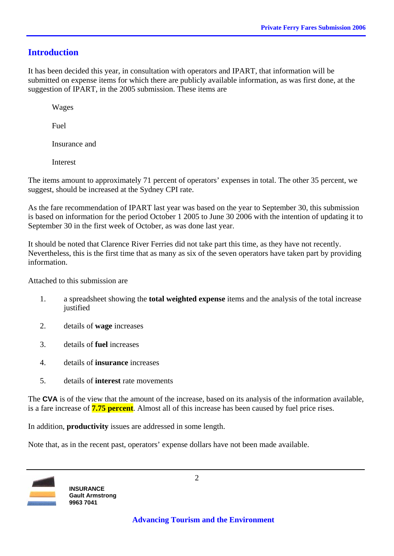### **Introduction**

It has been decided this year, in consultation with operators and IPART, that information will be submitted on expense items for which there are publicly available information, as was first done, at the suggestion of IPART, in the 2005 submission. These items are

Wages

Fuel

Insurance and

Interest

The items amount to approximately 71 percent of operators' expenses in total. The other 35 percent, we suggest, should be increased at the Sydney CPI rate.

As the fare recommendation of IPART last year was based on the year to September 30, this submission is based on information for the period October 1 2005 to June 30 2006 with the intention of updating it to September 30 in the first week of October, as was done last year.

It should be noted that Clarence River Ferries did not take part this time, as they have not recently. Nevertheless, this is the first time that as many as six of the seven operators have taken part by providing information.

Attached to this submission are

- 1. a spreadsheet showing the **total weighted expense** items and the analysis of the total increase iustified
- 2. details of **wage** increases
- 3. details of **fuel** increases
- 4. details of **insurance** increases
- 5. details of **interest** rate movements

The **CVA** is of the view that the amount of the increase, based on its analysis of the information available, is a fare increase of **7.75 percent**. Almost all of this increase has been caused by fuel price rises.

In addition, **productivity** issues are addressed in some length.

Note that, as in the recent past, operators' expense dollars have not been made available.

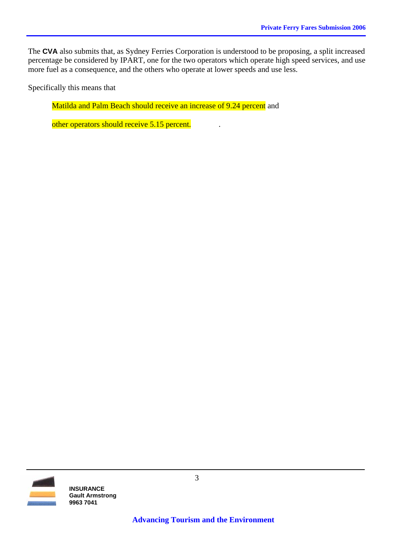The **CVA** also submits that, as Sydney Ferries Corporation is understood to be proposing, a split increased percentage be considered by IPART, one for the two operators which operate high speed services, and use more fuel as a consequence, and the others who operate at lower speeds and use less.

Specifically this means that

Matilda and Palm Beach should receive an increase of 9.24 percent and

other operators should receive 5.15 percent.

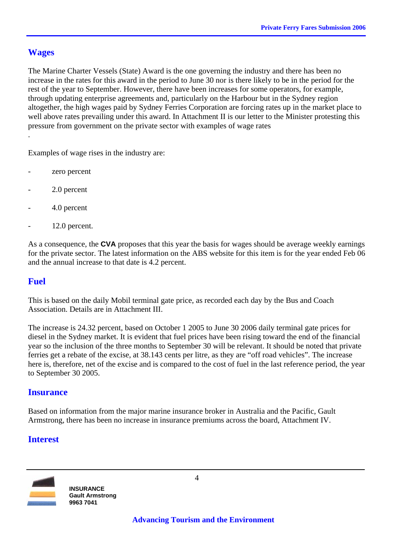#### **Wages**

.

The Marine Charter Vessels (State) Award is the one governing the industry and there has been no increase in the rates for this award in the period to June 30 nor is there likely to be in the period for the rest of the year to September. However, there have been increases for some operators, for example, through updating enterprise agreements and, particularly on the Harbour but in the Sydney region altogether, the high wages paid by Sydney Ferries Corporation are forcing rates up in the market place to well above rates prevailing under this award. In Attachment II is our letter to the Minister protesting this pressure from government on the private sector with examples of wage rates

Examples of wage rises in the industry are:

- zero percent
- 2.0 percent
- 4.0 percent
- 12.0 percent.

As a consequence, the **CVA** proposes that this year the basis for wages should be average weekly earnings for the private sector. The latest information on the ABS website for this item is for the year ended Feb 06 and the annual increase to that date is 4.2 percent.

#### **Fuel**

This is based on the daily Mobil terminal gate price, as recorded each day by the Bus and Coach Association. Details are in Attachment III.

The increase is 24.32 percent, based on October 1 2005 to June 30 2006 daily terminal gate prices for diesel in the Sydney market. It is evident that fuel prices have been rising toward the end of the financial year so the inclusion of the three months to September 30 will be relevant. It should be noted that private ferries get a rebate of the excise, at 38.143 cents per litre, as they are "off road vehicles". The increase here is, therefore, net of the excise and is compared to the cost of fuel in the last reference period, the year to September 30 2005.

#### **Insurance**

Based on information from the major marine insurance broker in Australia and the Pacific, Gault Armstrong, there has been no increase in insurance premiums across the board, Attachment IV.

#### **Interest**

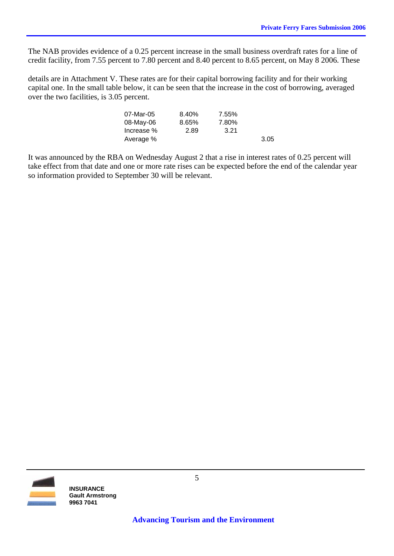The NAB provides evidence of a 0.25 percent increase in the small business overdraft rates for a line of credit facility, from 7.55 percent to 7.80 percent and 8.40 percent to 8.65 percent, on May 8 2006. These

details are in Attachment V. These rates are for their capital borrowing facility and for their working capital one. In the small table below, it can be seen that the increase in the cost of borrowing, averaged over the two facilities, is 3.05 percent.

| 07-Mar-05  | 8.40% | 7.55% |      |
|------------|-------|-------|------|
| 08-May-06  | 8.65% | 7.80% |      |
| Increase % | 2.89  | 3.21  |      |
| Average %  |       |       | 3.05 |

It was announced by the RBA on Wednesday August 2 that a rise in interest rates of 0.25 percent will take effect from that date and one or more rate rises can be expected before the end of the calendar year so information provided to September 30 will be relevant.

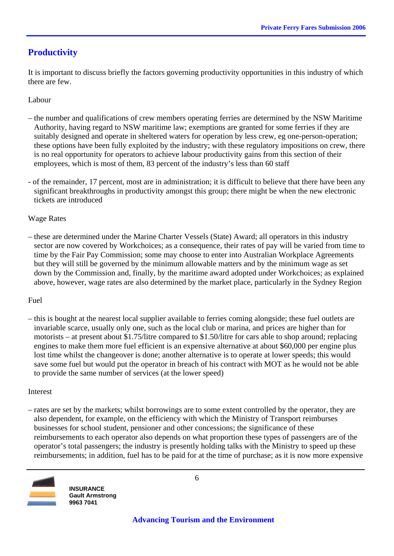## **Productivity**

It is important to discuss briefly the factors governing productivity opportunities in this industry of which there are few.

#### Labour

- the number and qualifications of crew members operating ferries are determined by the NSW Maritime Authority, having regard to NSW maritime law; exemptions are granted for some ferries if they are suitably designed and operate in sheltered waters for operation by less crew, eg one-person-operation; these options have been fully exploited by the industry; with these regulatory impositions on crew, there is no real opportunity for operators to achieve labour productivity gains from this section of their employees, which is most of them, 83 percent of the industry's less than 60 staff
- of the remainder, 17 percent, most are in administration; it is difficult to believe that there have been any significant breakthroughs in productivity amongst this group; there might be when the new electronic tickets are introduced

#### Wage Rates

– these are determined under the Marine Charter Vessels (State) Award; all operators in this industry sector are now covered by Workchoices; as a consequence, their rates of pay will be varied from time to time by the Fair Pay Commission; some may choose to enter into Australian Workplace Agreements but they will still be governed by the minimum allowable matters and by the minimum wage as set down by the Commission and, finally, by the maritime award adopted under Workchoices; as explained above, however, wage rates are also determined by the market place, particularly in the Sydney Region

#### Fuel

– this is bought at the nearest local supplier available to ferries coming alongside; these fuel outlets are invariable scarce, usually only one, such as the local club or marina, and prices are higher than for motorists – at present about \$1.75/litre compared to \$1.50/litre for cars able to shop around; replacing engines to make them more fuel efficient is an expensive alternative at about \$60,000 per engine plus lost time whilst the changeover is done; another alternative is to operate at lower speeds; this would save some fuel but would put the operator in breach of his contract with MOT as he would not be able to provide the same number of services (at the lower speed)

#### Interest

– rates are set by the markets; whilst borrowings are to some extent controlled by the operator, they are also dependent, for example, on the efficiency with which the Ministry of Transport reimburses businesses for school student, pensioner and other concessions; the significance of these reimbursements to each operator also depends on what proportion these types of passengers are of the operator's total passengers; the industry is presently holding talks with the Ministry to speed up these reimbursements; in addition, fuel has to be paid for at the time of purchase; as it is now more expensive



**INSURANCE Gault Armstrong 9963 7041**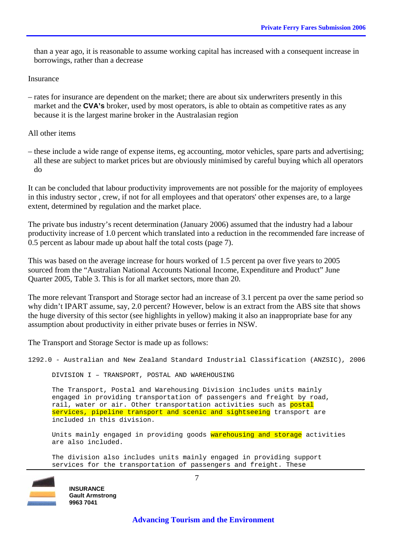than a year ago, it is reasonable to assume working capital has increased with a consequent increase in borrowings, rather than a decrease

Insurance

– rates for insurance are dependent on the market; there are about six underwriters presently in this market and the **CVA's** broker, used by most operators, is able to obtain as competitive rates as any because it is the largest marine broker in the Australasian region

All other items

– these include a wide range of expense items, eg accounting, motor vehicles, spare parts and advertising; all these are subject to market prices but are obviously minimised by careful buying which all operators do

It can be concluded that labour productivity improvements are not possible for the majority of employees in this industry sector , crew, if not for all employees and that operators' other expenses are, to a large extent, determined by regulation and the market place.

The private bus industry's recent determination (January 2006) assumed that the industry had a labour productivity increase of 1.0 percent which translated into a reduction in the recommended fare increase of 0.5 percent as labour made up about half the total costs (page 7).

This was based on the average increase for hours worked of 1.5 percent pa over five years to 2005 sourced from the "Australian National Accounts National Income, Expenditure and Product" June Quarter 2005, Table 3. This is for all market sectors, more than 20.

The more relevant Transport and Storage sector had an increase of 3.1 percent pa over the same period so why didn't IPART assume, say, 2.0 percent? However, below is an extract from the ABS site that shows the huge diversity of this sector (see highlights in yellow) making it also an inappropriate base for any assumption about productivity in either private buses or ferries in NSW.

The Transport and Storage Sector is made up as follows:

1292.0 - Australian and New Zealand Standard Industrial Classification (ANZSIC), 2006

DIVISION I – TRANSPORT, POSTAL AND WAREHOUSING

 The Transport, Postal and Warehousing Division includes units mainly engaged in providing transportation of passengers and freight by road, rail, water or air. Other transportation activities such as postal services, pipeline transport and scenic and sightseeing transport are included in this division.

Units mainly engaged in providing goods warehousing and storage activities are also included.

 The division also includes units mainly engaged in providing support services for the transportation of passengers and freight. These



**INSURANCE Gault Armstrong 9963 7041** 

 **Advancing Tourism and the Environment**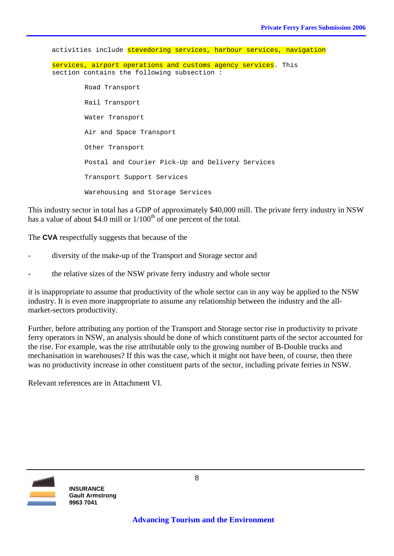activities include stevedoring services, harbour services, navigation services, airport operations and customs agency services. This section contains the following subsection : Road Transport Rail Transport Water Transport Air and Space Transport Other Transport Postal and Courier Pick-Up and Delivery Services Transport Support Services Warehousing and Storage Services

This industry sector in total has a GDP of approximately \$40,000 mill. The private ferry industry in NSW has a value of about \$4.0 mill or  $1/100<sup>th</sup>$  of one percent of the total.

The **CVA** respectfully suggests that because of the

- diversity of the make-up of the Transport and Storage sector and
- the relative sizes of the NSW private ferry industry and whole sector

it is inappropriate to assume that productivity of the whole sector can in any way be applied to the NSW industry. It is even more inappropriate to assume any relationship between the industry and the allmarket-sectors productivity.

Further, before attributing any portion of the Transport and Storage sector rise in productivity to private ferry operators in NSW, an analysis should be done of which constituent parts of the sector accounted for the rise. For example, was the rise attributable only to the growing number of B-Double trucks and mechanisation in warehouses? If this was the case, which it might not have been, of course, then there was no productivity increase in other constituent parts of the sector, including private ferries in NSW.

Relevant references are in Attachment VI.

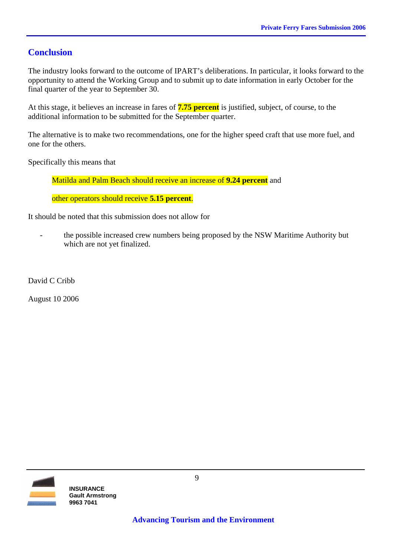## **Conclusion**

The industry looks forward to the outcome of IPART's deliberations. In particular, it looks forward to the opportunity to attend the Working Group and to submit up to date information in early October for the final quarter of the year to September 30.

At this stage, it believes an increase in fares of **7.75 percent** is justified, subject, of course, to the additional information to be submitted for the September quarter.

The alternative is to make two recommendations, one for the higher speed craft that use more fuel, and one for the others.

Specifically this means that

Matilda and Palm Beach should receive an increase of **9.24 percent** and

other operators should receive **5.15 percent**.

It should be noted that this submission does not allow for

the possible increased crew numbers being proposed by the NSW Maritime Authority but which are not yet finalized.

David C Cribb

August 10 2006

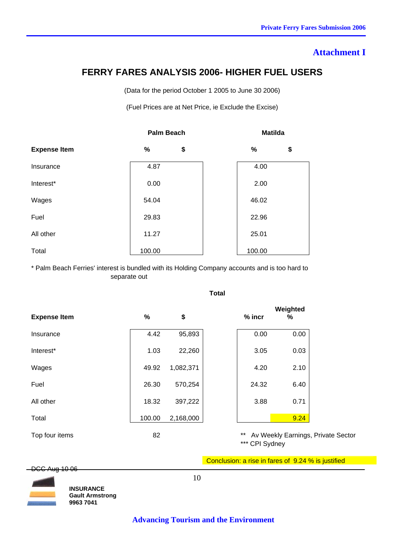#### **Attachment I**

## **FERRY FARES ANALYSIS 2006- HIGHER FUEL USERS**

(Data for the period October 1 2005 to June 30 2006)

(Fuel Prices are at Net Price, ie Exclude the Excise)

|                     | <b>Palm Beach</b> |    |  | <b>Matilda</b> |    |
|---------------------|-------------------|----|--|----------------|----|
| <b>Expense Item</b> | %                 | \$ |  | %              | \$ |
| Insurance           | 4.87              |    |  | 4.00           |    |
| Interest*           | 0.00              |    |  | 2.00           |    |
| Wages               | 54.04             |    |  | 46.02          |    |
| Fuel                | 29.83             |    |  | 22.96          |    |
| All other           | 11.27             |    |  | 25.01          |    |
| Total               | 100.00            |    |  | 100.00         |    |

\* Palm Beach Ferries' interest is bundled with its Holding Company accounts and is too hard to separate out

| <b>Expense Item</b> | %      | \$        | % incr | Weighted<br>%      |
|---------------------|--------|-----------|--------|--------------------|
| Insurance           | 4.42   | 95,893    | 0.00   | 0.00               |
| Interest*           | 1.03   | 22,260    | 3.05   | 0.03               |
| Wages               | 49.92  | 1,082,371 | 4.20   | 2.10               |
| Fuel                | 26.30  | 570,254   | 24.32  | 6.40               |
| All other           | 18.32  | 397,222   | 3.88   | 0.71               |
| Total               | 100.00 | 2,168,000 |        | 9.24               |
| Top four items      | 82     |           | $***$  | Av Weekly Earnings |

**Total** 

s, Private Sector \*\*\* CPI Sydney

Conclusion: a rise in fares of 9.24 % is justified

DCC Aug 10 06



**INSURANCE Gault Armstrong 9963 7041** 

10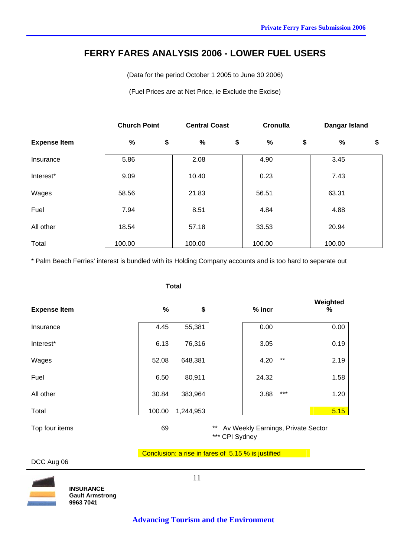### **FERRY FARES ANALYSIS 2006 - LOWER FUEL USERS**

(Data for the period October 1 2005 to June 30 2006)

(Fuel Prices are at Net Price, ie Exclude the Excise)

|                     | <b>Church Point</b> | <b>Central Coast</b> |        |    |        | Cronulla | Dangar Island |    |
|---------------------|---------------------|----------------------|--------|----|--------|----------|---------------|----|
| <b>Expense Item</b> | $\frac{9}{6}$       | \$                   | %      | \$ | %      | \$       | $\%$          | \$ |
| Insurance           | 5.86                |                      | 2.08   |    | 4.90   |          | 3.45          |    |
| Interest*           | 9.09                |                      | 10.40  |    | 0.23   |          | 7.43          |    |
| Wages               | 58.56               |                      | 21.83  |    | 56.51  |          | 63.31         |    |
| Fuel                | 7.94                |                      | 8.51   |    | 4.84   |          | 4.88          |    |
| All other           | 18.54               |                      | 57.18  |    | 33.53  |          | 20.94         |    |
| Total               | 100.00              |                      | 100.00 |    | 100.00 |          | 100.00        |    |

\* Palm Beach Ferries' interest is bundled with its Holding Company accounts and is too hard to separate out

|                     |        | <b>Total</b> |                         |          |                                    |               |
|---------------------|--------|--------------|-------------------------|----------|------------------------------------|---------------|
| <b>Expense Item</b> | $\%$   | \$           |                         | $%$ incr |                                    | Weighted<br>% |
| Insurance           | 4.45   | 55,381       |                         | 0.00     |                                    | 0.00          |
| Interest*           | 6.13   | 76,316       |                         | 3.05     |                                    | 0.19          |
| Wages               | 52.08  | 648,381      |                         | 4.20     | $***$                              | 2.19          |
| Fuel                | 6.50   | 80,911       |                         | 24.32    |                                    | 1.58          |
| All other           | 30.84  | 383,964      |                         | 3.88     | $***$                              | 1.20          |
| Total               | 100.00 | 1,244,953    |                         |          |                                    | 5.15          |
| Top four items      | 69     |              | $***$<br>*** CPI Sydney |          | Av Weekly Earnings, Private Sector |               |

#### Conclusion: a rise in fares of 5.15 % is justified

DCC Aug 06



11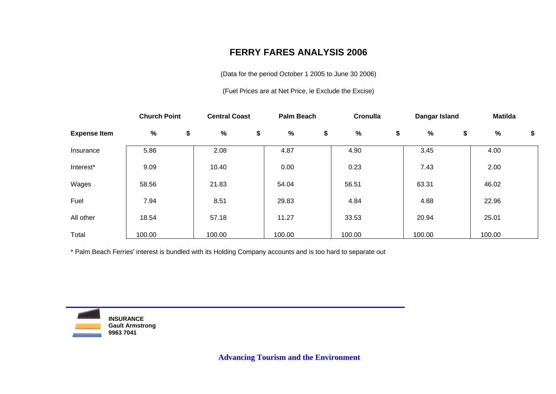## **FERRY FARES ANALYSIS 2006**

(Data for the period October 1 2005 to June 30 2006)

(Fuel Prices are at Net Price, ie Exclude the Excise)

|                     | <b>Church Point</b> | <b>Central Coast</b> | <b>Palm Beach</b> | Cronulla | Dangar Island | <b>Matilda</b> |    |
|---------------------|---------------------|----------------------|-------------------|----------|---------------|----------------|----|
| <b>Expense Item</b> | %                   | \$<br>%              | \$<br>%           | \$<br>%  | \$<br>%       | \$<br>$\%$     | \$ |
| Insurance           | 5.86                | 2.08                 | 4.87              | 4.90     | 3.45          | 4.00           |    |
| Interest*           | 9.09                | 10.40                | 0.00              | 0.23     | 7.43          | 2.00           |    |
| Wages               | 58.56               | 21.83                | 54.04             | 56.51    | 63.31         | 46.02          |    |
| Fuel                | 7.94                | 8.51                 | 29.83             | 4.84     | 4.88          | 22.96          |    |
| All other           | 18.54               | 57.18                | 11.27             | 33.53    | 20.94         | 25.01          |    |
| Total               | 100.00              | 100.00               | 100.00            | 100.00   | 100.00        | 100.00         |    |

\* Palm Beach Ferries' interest is bundled with its Holding Company accounts and is too hard to separate out



**INSURANCE Gault Armstrong 9963 7041**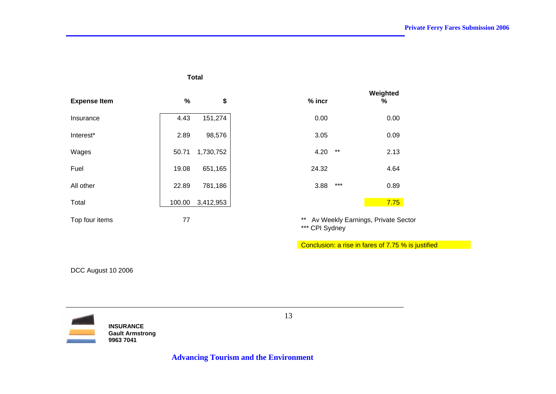#### **Total**

| <b>Expense Item</b> | $\%$   | \$        | $%$ incr | ,,,,,,,,,,<br>%                 |
|---------------------|--------|-----------|----------|---------------------------------|
| Insurance           | 4.43   | 151,274   | 0.00     | 0.00                            |
| Interest*           | 2.89   | 98,576    | 3.05     | 0.09                            |
| Wages               | 50.71  | 1,730,752 | 4.20     | $***$<br>2.13                   |
| Fuel                | 19.08  | 651,165   | 24.32    | 4.64                            |
| All other           | 22.89  | 781,186   | 3.88     | $***$<br>0.89                   |
| Total               | 100.00 | 3,412,953 |          | 7.75                            |
| Top four items      | 77     |           | $***$    | Av Weekly Earnings, Private Sec |

| $%$ incr |       | Weighted<br>% |
|----------|-------|---------------|
| 0.00     |       | 0.00          |
| 3.05     |       | 0.09          |
| 4.20     | $***$ | 2.13          |
| 24.32    |       | 4.64          |
| 3.88     | ***   | 0.89          |
|          |       | 7.75          |

\*\* Av Weekly Earnings, Private Sector \*\*\* CPI Sydney

Conclusion: a rise in fares of 7.75 % is justified

DCC August 10 2006



**INSURANCE Gault Armstrong 9963 7041**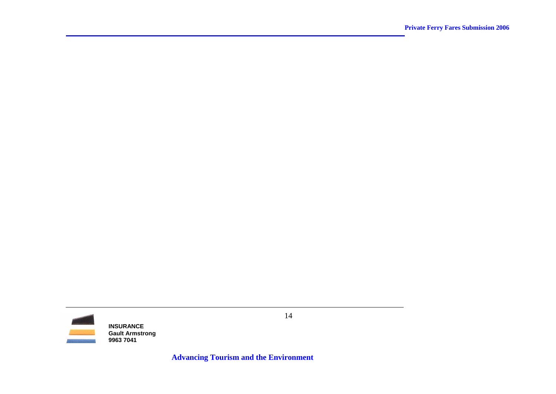

14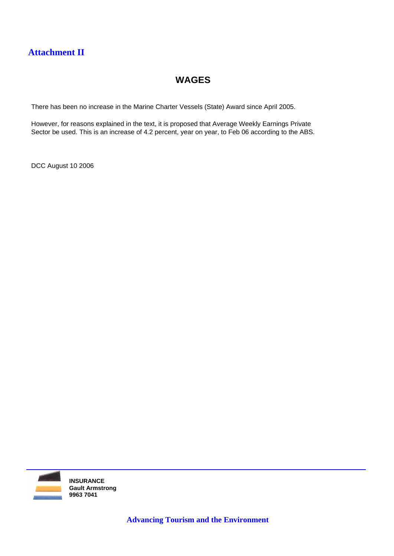## **Attachment II**

## **WAGES**

There has been no increase in the Marine Charter Vessels (State) Award since April 2005.

However, for reasons explained in the text, it is proposed that Average Weekly Earnings Private Sector be used. This is an increase of 4.2 percent, year on year, to Feb 06 according to the ABS.

DCC August 10 2006

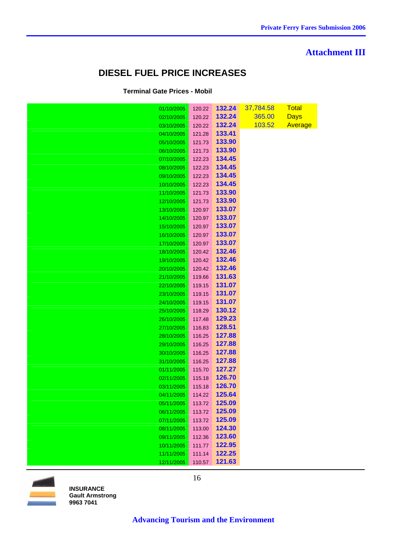#### **Attachment III**

## **DIESEL FUEL PRICE INCREASES**

#### **Terminal Gate Prices - Mobil**

| 01/10/2005               | 120.22           | 132.24           | 37,784.58 | <b>Total</b> |
|--------------------------|------------------|------------------|-----------|--------------|
| 02/10/2005               | 120.22           | 132.24           | 365.00    | <b>Days</b>  |
| 03/10/2005               | 120.22           | 132.24           | 103.52    | Average      |
| 04/10/2005               | 121.28           | 133.41           |           |              |
| 05/10/2005               | 121.73           | 133.90           |           |              |
| 06/10/2005               | 121.73           | 133.90           |           |              |
| 07/10/2005               | 122.23           | 134.45           |           |              |
| 08/10/2005               | 122.23           | 134.45           |           |              |
| 09/10/2005               | 122.23           | 134.45           |           |              |
| 10/10/2005               | 122.23           | 134.45           |           |              |
| 11/10/2005               | 121.73           | 133.90           |           |              |
| 12/10/2005               | 121.73           | 133.90           |           |              |
| 13/10/2005               | 120.97           | 133.07           |           |              |
| 14/10/2005               | 120.97           | 133.07           |           |              |
| 15/10/2005               | 120.97           | 133.07           |           |              |
| 16/10/2005               | 120.97           | 133.07           |           |              |
| 17/10/2005               | 120.97           | 133.07           |           |              |
| 18/10/2005               | 120.42           | 132.46           |           |              |
| 19/10/2005               | 120.42           | 132.46           |           |              |
| 20/10/2005               | 120.42           | 132.46           |           |              |
| 21/10/2005               | 119.66           | 131.63           |           |              |
| 22/10/2005               | 119.15           | 131.07           |           |              |
| 23/10/2005               | 119.15           | 131.07           |           |              |
| 24/10/2005               | 119.15           | 131.07           |           |              |
| 25/10/2005               | 118.29           | 130.12           |           |              |
| 26/10/2005               | 117.48           | 129.23           |           |              |
| 27/10/2005               | 116.83           | 128.51           |           |              |
| 28/10/2005               | 116.25           | 127.88           |           |              |
| 29/10/2005               | 116.25           | 127.88           |           |              |
| 30/10/2005               | 116.25<br>116.25 | 127.88<br>127.88 |           |              |
| 31/10/2005<br>01/11/2005 | 115.70           | 127.27           |           |              |
| 02/11/2005               | 115.18           | 126.70           |           |              |
| 03/11/2005               | 115.18           | 126.70           |           |              |
| 04/11/2005               | 114.22           | 125.64           |           |              |
| 05/11/2005               | 113.72           | 125.09           |           |              |
| 06/11/2005               | 113.72           | 125.09           |           |              |
| 07/11/2005               | 113.72           | 125.09           |           |              |
| 08/11/2005               | 113.00           | 124.30           |           |              |
| 09/11/2005               | 112.36           | 123.60           |           |              |
| 10/11/2005               | 111.77           | 122.95           |           |              |
| 11/11/2005               | 111.14           | 122.25           |           |              |
| 12/11/2005               | 110.57           | 121.63           |           |              |

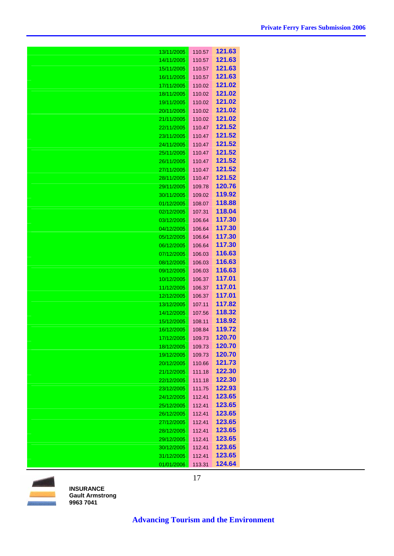| 13/11/2005 | 110.57 | 121.63 |
|------------|--------|--------|
| 14/11/2005 | 110.57 | 121.63 |
| 15/11/2005 | 110.57 | 121.63 |
| 16/11/2005 | 110.57 | 121.63 |
| 17/11/2005 | 110.02 | 121.02 |
| 18/11/2005 | 110.02 | 121.02 |
| 19/11/2005 | 110.02 | 121.02 |
| 20/11/2005 | 110.02 | 121.02 |
| 21/11/2005 | 110.02 | 121.02 |
| 22/11/2005 | 110.47 | 121.52 |
| 23/11/2005 | 110.47 | 121.52 |
| 24/11/2005 | 110.47 | 121.52 |
| 25/11/2005 | 110.47 | 121.52 |
| 26/11/2005 | 110.47 | 121.52 |
| 27/11/2005 | 110.47 | 121.52 |
| 28/11/2005 | 110.47 | 121.52 |
| 29/11/2005 | 109.78 | 120.76 |
| 30/11/2005 | 109.02 | 119.92 |
| 01/12/2005 | 108.07 | 118.88 |
| 02/12/2005 | 107.31 | 118.04 |
| 03/12/2005 | 106.64 | 117.30 |
| 04/12/2005 | 106.64 | 117.30 |
| 05/12/2005 | 106.64 | 117.30 |
| 06/12/2005 | 106.64 | 117.30 |
| 07/12/2005 | 106.03 | 116.63 |
| 08/12/2005 | 106.03 | 116.63 |
| 09/12/2005 | 106.03 | 116.63 |
| 10/12/2005 | 106.37 | 117.01 |
| 11/12/2005 | 106.37 | 117.01 |
| 12/12/2005 | 106.37 | 117.01 |
| 13/12/2005 | 107.11 | 117.82 |
| 14/12/2005 | 107.56 | 118.32 |
| 15/12/2005 | 108.11 | 118.92 |
| 16/12/2005 | 108.84 | 119.72 |
| 17/12/2005 | 109.73 | 120.70 |
| 18/12/2005 | 109.73 | 120.70 |
| 19/12/2005 | 109.73 | 120.70 |
| 20/12/2005 | 110.66 | 121.73 |
| 21/12/2005 | 111.18 | 122.30 |
| 22/12/2005 | 111.18 | 122.30 |
| 23/12/2005 | 111.75 | 122.93 |
| 24/12/2005 | 112.41 | 123.65 |
| 25/12/2005 | 112.41 | 123.65 |
| 26/12/2005 | 112.41 | 123.65 |
| 27/12/2005 | 112.41 | 123.65 |
| 28/12/2005 | 112.41 | 123.65 |
| 29/12/2005 | 112.41 | 123.65 |
| 30/12/2005 | 112.41 | 123.65 |
| 31/12/2005 | 112.41 | 123.65 |
| 01/01/2006 | 113.31 | 124.64 |

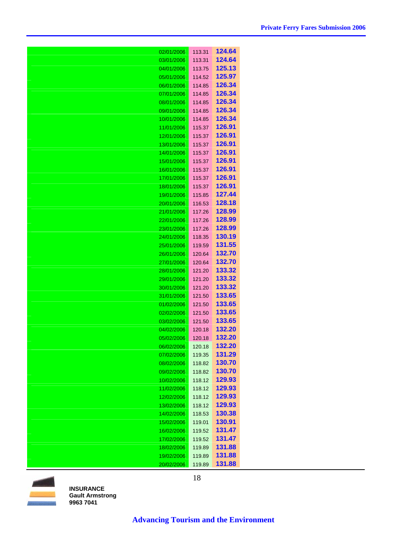| 02/01/2006               | 113.31           | 124.64                  |
|--------------------------|------------------|-------------------------|
| 03/01/2006               | 113.31           | 124.64                  |
| 04/01/2006               | 113.75           | 125.13                  |
| 05/01/2006               | 114.52           | 125.97                  |
| 06/01/2006               | 114.85           | 126.34                  |
| 07/01/2006               | 114.85           | 126.34                  |
| 08/01/2006               | 114.85           | 126.34                  |
| 09/01/2006               | 114.85           | 126.34                  |
| 10/01/2006               | 114.85           | 126.34                  |
| 11/01/2006               | 115.37           | 126.91                  |
| 12/01/2006               | 115.37           | 126.91                  |
| 13/01/2006               | 115.37           | 126.91                  |
| 14/01/2006               | 115.37           | 126.91                  |
| 15/01/2006               | 115.37           | 126.91                  |
| 16/01/2006               | 115.37           | 126.91                  |
| 17/01/2006               | 115.37           | 126.91                  |
| 18/01/2006               | 115.37           | 126.91<br>127.44        |
| 19/01/2006<br>20/01/2006 | 115.85<br>116.53 | 128.18                  |
| 21/01/2006               | 117.26           | 128.99                  |
| 22/01/2006               | 117.26           | 128.99                  |
| 23/01/2006               | 117.26           | 128.99                  |
| 24/01/2006               | 118.35           | 130.19                  |
| 25/01/2006               | 119.59           | 131.55                  |
| 26/01/2006               | 120.64           | 132.70                  |
| 27/01/2006               | 120.64           | 132.70                  |
| 28/01/2006               | 121.20           | 133.32                  |
| 29/01/2006               | 121.20           | 133.32                  |
| 30/01/2006               | 121.20           | 133.32                  |
| 31/01/2006               | 121.50           | 133.65                  |
| 01/02/2006               | 121.50           | 133.65                  |
| 02/02/2006               | 121.50           | 133.65                  |
| 03/02/2006               | 121.50           | 133.65                  |
| 04/02/2006               | 120.18           | 132.20                  |
| 05/02/2006               | 120.18           | 132.20                  |
| 06/02/2006               | 120.18           | <b>132.20</b><br>131.29 |
| 07/02/2006<br>08/02/2006 | 119.35<br>118.82 | 130.70                  |
| 09/02/2006               | 118.82           | 130.70                  |
| 10/02/2006               | 118.12           | 129.93                  |
| 11/02/2006               | 118.12           | 129.93                  |
| 12/02/2006               | 118.12           | 129.93                  |
| 13/02/2006               | 118.12           | 129.93                  |
| 14/02/2006               | 118.53           | 130.38                  |
| 15/02/2006               | 119.01           | 130.91                  |
| 16/02/2006               | 119.52           | 131.47                  |
| 17/02/2006               | 119.52           | 131.47                  |
| 18/02/2006               | 119.89           | 131.88                  |
| 19/02/2006               | 119.89           | 131.88                  |
| 20/02/2006               | 119.89           | 131.88                  |



18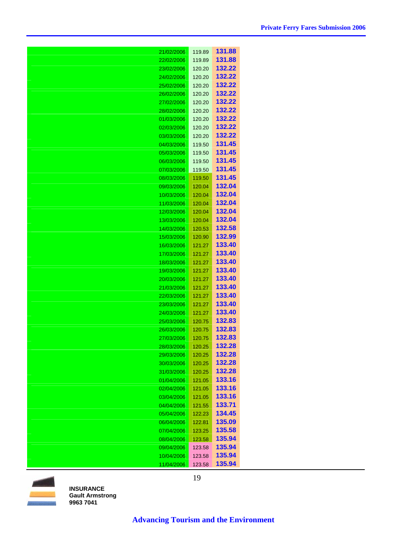| 21/02/2006               | 119.89           | 131.88           |
|--------------------------|------------------|------------------|
| 22/02/2006               | 119.89           | 131.88           |
| 23/02/2006               | 120.20           | 132.22           |
| 24/02/2006               | 120.20           | 132.22           |
| 25/02/2006               | 120.20           | 132.22           |
| 26/02/2006               | 120.20           | 132.22           |
| 27/02/2006               | 120.20           | 132.22           |
| 28/02/2006               | 120.20           | 132.22           |
| 01/03/2006               | 120.20           | 132.22           |
| 02/03/2006               | 120.20           | 132.22           |
| 03/03/2006               | 120.20           | 132.22           |
| 04/03/2006               | 119.50           | 131.45           |
| 05/03/2006               | 119.50           | 131.45           |
| 06/03/2006               | 119.50           | 131.45           |
| 07/03/2006               | 119.50           | 131.45           |
| 08/03/2006               | 119.50           | 131.45           |
| 09/03/2006               | 120.04           | 132.04           |
| 10/03/2006               | 120.04           | 132.04           |
| 11/03/2006               | 120.04           | 132.04           |
| 12/03/2006               | 120.04           | 132.04           |
| 13/03/2006               | 120.04           | 132.04           |
| 14/03/2006               | 120.53           | 132.58           |
| 15/03/2006               | 120.90           | 132.99           |
| 16/03/2006               | 121.27           | 133.40           |
| 17/03/2006               | 121.27           | 133.40           |
| 18/03/2006               | 121.27           | 133.40           |
| 19/03/2006               | 121.27           | 133.40           |
| 20/03/2006               | 121.27           | 133.40           |
| 21/03/2006               | 121.27           | 133.40<br>133.40 |
| 22/03/2006               | 121.27           |                  |
| 23/03/2006               | 121.27           | 133.40<br>133.40 |
| 24/03/2006               | 121.27           | 132.83           |
| 25/03/2006               | 120.75           | 132.83           |
| 26/03/2006               | 120.75           | 132.83           |
| 27/03/2006               | 120.75           | <u>132.28</u>    |
| 28/03/2006               | 120.25<br>120.25 | 132.28           |
| 29/03/2006<br>30/03/2006 | 120.25           | 132.28           |
| 31/03/2006               | 120.25           | 132.28           |
| 01/04/2006               | 121.05           | 133.16           |
| 02/04/2006               | 121.05           | 133.16           |
| 03/04/2006               | 121.05           | 133.16           |
| 04/04/2006               | 121.55           | 133.71           |
| 05/04/2006               | 122.23           | 134.45           |
| 06/04/2006               | 122.81           | 135.09           |
| 07/04/2006               | 123.25           | 135.58           |
| 08/04/2006               | 123.58           | 135.94           |
| 09/04/2006               | 123.58           | 135.94           |
| 10/04/2006               | 123.58           | 135.94           |
| 11/04/2006               | 123.58           | 135.94           |

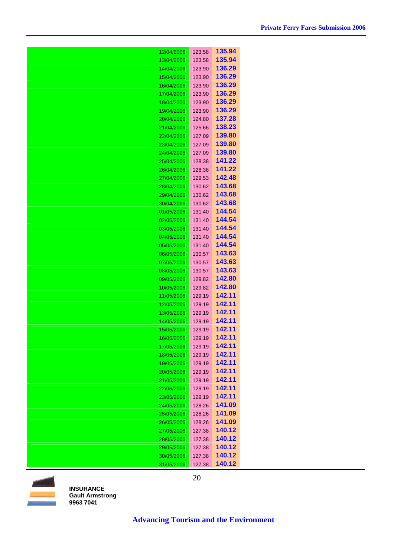| 12/04/2006 | 123.58 | 135.94        |
|------------|--------|---------------|
| 13/04/2006 | 123.58 | 135.94        |
| 14/04/2006 | 123.90 | 136.29        |
| 15/04/2006 | 123.90 | 136.29        |
| 16/04/2006 | 123.90 | 136.29        |
| 17/04/2006 | 123.90 | 136.29        |
| 18/04/2006 | 123.90 | 136.29        |
| 19/04/2006 | 123.90 | 136.29        |
| 20/04/2006 | 124.80 | 137.28        |
| 21/04/2006 | 125.66 | 138.23        |
| 22/04/2006 | 127.09 | 139.80        |
| 23/04/2006 | 127.09 | 139.80        |
| 24/04/2006 | 127.09 | 139.80        |
| 25/04/2006 | 128.38 | 141.22        |
| 26/04/2006 | 128.38 | 141.22        |
| 27/04/2006 | 129.53 | 142.48        |
| 28/04/2006 | 130.62 | 143.68        |
| 29/04/2006 | 130.62 | 143.68        |
| 30/04/2006 | 130.62 | 143.68        |
| 01/05/2006 | 131.40 | 144.54        |
| 02/05/2006 | 131.40 | 144.54        |
| 03/05/2006 | 131.40 | 144.54        |
| 04/05/2006 | 131.40 | 144.54        |
| 05/05/2006 | 131.40 | 144.54        |
| 06/05/2006 | 130.57 | 143.63        |
| 07/05/2006 | 130.57 | 143.63        |
| 08/05/2006 | 130.57 | 143.63        |
| 09/05/2006 | 129.82 | 142.80        |
| 10/05/2006 | 129.82 | 142.80        |
| 11/05/2006 | 129.19 | 142.11        |
| 12/05/2006 | 129.19 | 142.11        |
| 13/05/2006 | 129.19 | 142.11        |
| 14/05/2006 | 129.19 | 142.11        |
| 15/05/2006 | 129.19 | 142.11        |
| 16/05/2006 | 129.19 | 142.11        |
| 17/05/2006 | 129.19 | 142.11        |
| 18/05/2006 | 129.19 | 142.11        |
| 19/05/2006 | 129.19 | 142.11        |
| 20/05/2006 | 129.19 | 142.11        |
| 21/05/2006 | 129.19 | 142.11        |
| 22/05/2006 | 129.19 | 142.11        |
| 23/05/2006 | 129.19 | 142.11        |
| 24/05/2006 | 128.26 | 141.09        |
| 25/05/2006 | 128.26 | 141.09        |
| 26/05/2006 | 128.26 | 141.09        |
| 27/05/2006 | 127.38 | 140.12        |
| 28/05/2006 | 127.38 | 140.12        |
| 29/05/2006 | 127.38 | <u>140.12</u> |
| 30/05/2006 | 127.38 | 140.12        |
| 31/05/2006 | 127.38 | 140.12        |

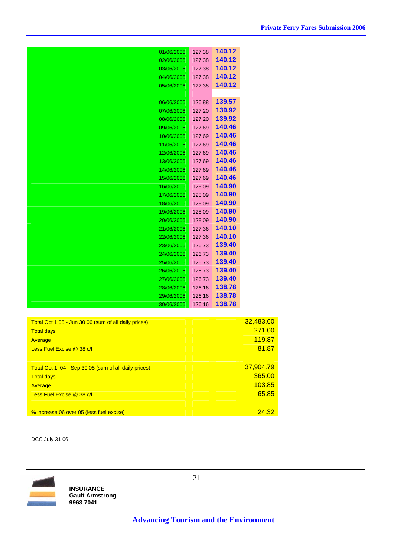| 01/06/2006 | 127.38 | 140.12 |
|------------|--------|--------|
| 02/06/2006 | 127.38 | 140.12 |
| 03/06/2006 | 127.38 | 140.12 |
| 04/06/2006 | 127.38 | 140.12 |
| 05/06/2006 | 127.38 | 140.12 |
|            |        |        |
|            |        | 139.57 |
| 06/06/2006 | 126.88 |        |
| 07/06/2006 | 127.20 | 139.92 |
| 08/06/2006 | 127.20 | 139.92 |
| 09/06/2006 | 127.69 | 140.46 |
| 10/06/2006 | 127.69 | 140.46 |
| 11/06/2006 | 127.69 | 140.46 |
| 12/06/2006 | 127.69 | 140.46 |
| 13/06/2006 | 127.69 | 140.46 |
| 14/06/2006 | 127.69 | 140.46 |
| 15/06/2006 | 127.69 | 140.46 |
| 16/06/2006 | 128.09 | 140.90 |
| 17/06/2006 | 128.09 | 140.90 |
| 18/06/2006 | 128.09 | 140.90 |
| 19/06/2006 | 128.09 | 140.90 |
| 20/06/2006 | 128.09 | 140.90 |
| 21/06/2006 | 127.36 | 140.10 |
| 22/06/2006 | 127.36 | 140.10 |
| 23/06/2006 | 126.73 | 139.40 |
| 24/06/2006 | 126.73 | 139.40 |
|            |        | 139.40 |
| 25/06/2006 | 126.73 |        |
| 26/06/2006 | 126.73 | 139.40 |
| 27/06/2006 | 126.73 | 139.40 |
| 28/06/2006 | 126.16 | 138.78 |
| 29/06/2006 | 126.16 | 138.78 |
| 30/06/2006 | 126.16 | 138.78 |

| Total Oct 1 05 - Jun 30 06 (sum of all daily prices) | 32,483.60 |
|------------------------------------------------------|-----------|
| <b>Total days</b>                                    | 271.00    |
| Average                                              | 119.87    |
| Less Fuel Excise @ 38 c/l                            | 81.87     |
|                                                      |           |
| Total Oct 1 04 - Sep 30 05 (sum of all daily prices) | 37,904.79 |
| <b>Total days</b>                                    | 365.00    |
| Average                                              | 103.85    |
| Less Fuel Excise @ 38 c/l                            | 65.85     |
|                                                      |           |
| % increase 06 over 05 (less fuel excise)             | 24.32     |

DCC July 31 06

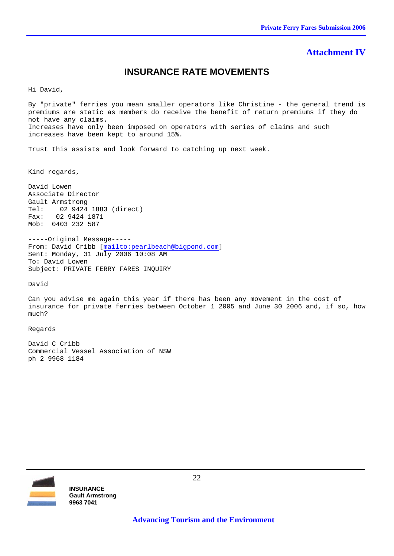#### **Attachment IV**

#### **INSURANCE RATE MOVEMENTS**

Hi David,

By "private" ferries you mean smaller operators like Christine - the general trend is premiums are static as members do receive the benefit of return premiums if they do not have any claims. Increases have only been imposed on operators with series of claims and such increases have been kept to around 15%.

Trust this assists and look forward to catching up next week.

Kind regards,

David Lowen Associate Director Gault Armstrong Tel: 02 9424 1883 (direct) Fax: 02 9424 1871 Mob: 0403 232 587

-----Original Message----- From: David Cribb [mailto:pearlbeach@bigpond.com] Sent: Monday, 31 July 2006 10:08 AM To: David Lowen Subject: PRIVATE FERRY FARES INQUIRY

David

Can you advise me again this year if there has been any movement in the cost of insurance for private ferries between October 1 2005 and June 30 2006 and, if so, how much?

Regards

David C Cribb Commercial Vessel Association of NSW ph 2 9968 1184

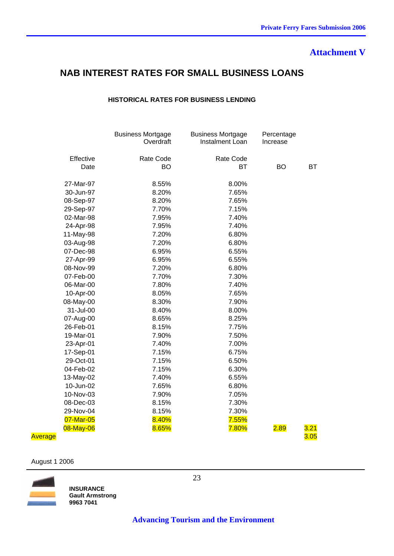### **Attachment V**

## **NAB INTEREST RATES FOR SMALL BUSINESS LOANS**

#### **HISTORICAL RATES FOR BUSINESS LENDING**

|           | <b>Business Mortgage</b><br>Overdraft | <b>Business Mortgage</b><br>Instalment Loan | Percentage<br>Increase |      |
|-----------|---------------------------------------|---------------------------------------------|------------------------|------|
| Effective | <b>Rate Code</b>                      | <b>Rate Code</b>                            |                        |      |
| Date      | BO                                    | <b>BT</b>                                   | <b>BO</b>              | ВT   |
| 27-Mar-97 | 8.55%                                 | 8.00%                                       |                        |      |
| 30-Jun-97 | 8.20%                                 | 7.65%                                       |                        |      |
| 08-Sep-97 | 8.20%                                 | 7.65%                                       |                        |      |
| 29-Sep-97 | 7.70%                                 | 7.15%                                       |                        |      |
| 02-Mar-98 | 7.95%                                 | 7.40%                                       |                        |      |
| 24-Apr-98 | 7.95%                                 | 7.40%                                       |                        |      |
| 11-May-98 | 7.20%                                 | 6.80%                                       |                        |      |
| 03-Aug-98 | 7.20%                                 | 6.80%                                       |                        |      |
| 07-Dec-98 | 6.95%                                 | 6.55%                                       |                        |      |
| 27-Apr-99 | 6.95%                                 | 6.55%                                       |                        |      |
| 08-Nov-99 | 7.20%                                 | 6.80%                                       |                        |      |
| 07-Feb-00 | 7.70%                                 | 7.30%                                       |                        |      |
| 06-Mar-00 | 7.80%                                 | 7.40%                                       |                        |      |
| 10-Apr-00 | 8.05%                                 | 7.65%                                       |                        |      |
| 08-May-00 | 8.30%                                 | 7.90%                                       |                        |      |
| 31-Jul-00 | 8.40%                                 | 8.00%                                       |                        |      |
| 07-Aug-00 | 8.65%                                 | 8.25%                                       |                        |      |
| 26-Feb-01 | 8.15%                                 | 7.75%                                       |                        |      |
| 19-Mar-01 | 7.90%                                 | 7.50%                                       |                        |      |
| 23-Apr-01 | 7.40%                                 | 7.00%                                       |                        |      |
| 17-Sep-01 | 7.15%                                 | 6.75%                                       |                        |      |
| 29-Oct-01 | 7.15%                                 | 6.50%                                       |                        |      |
| 04-Feb-02 | 7.15%                                 | 6.30%                                       |                        |      |
| 13-May-02 | 7.40%                                 | 6.55%                                       |                        |      |
| 10-Jun-02 | 7.65%                                 | 6.80%                                       |                        |      |
| 10-Nov-03 | 7.90%                                 | 7.05%                                       |                        |      |
| 08-Dec-03 | 8.15%                                 | 7.30%                                       |                        |      |
| 29-Nov-04 | 8.15%                                 | 7.30%                                       |                        |      |
| 07-Mar-05 | 8.40%                                 | 7.55%                                       |                        |      |
| 08-May-06 | 8.65%                                 | 7.80%                                       | <u>2.89</u>            | 3.21 |

#### ماد المساحة 3.05 بالتاريخ المساحة المساحة المساحة المساحة المساحة المساحة المساحة المساحة المساحة 3.05 بالمساحة

#### August 1 2006



**INSURANCE Gault Armstrong 9963 7041** 

23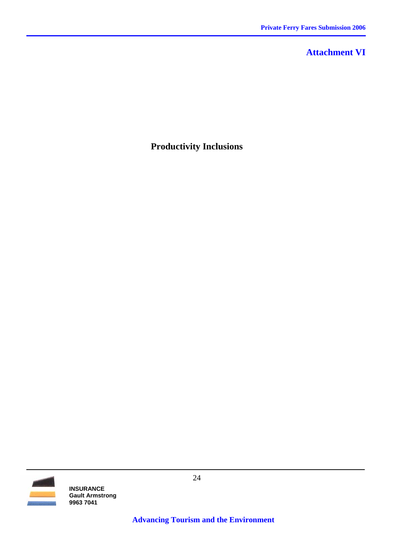## **Attachment VI**

## **Productivity Inclusions**

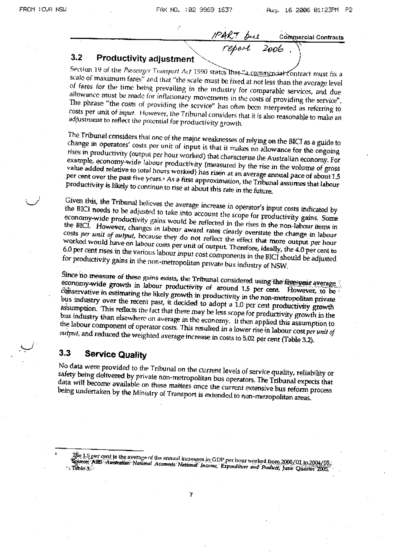## **Commercial Contracts** 2006

#### $3.2$ **Productivity adjustment**

Section 19 of the Passenger Transport Act 1990 states that "a commercial contract must fix a scale of maximum fares" and that "the scale must be fixed at not less than the average level of fares for the time being prevailing in the industry for comparable services, and due allowance must be made for inflationary movements in the costs of providing the service". The phrase "the costs of providing the service" has often been interpreted as referring to costs per unit of *input*. However, the Tribunal considers that it is also reasonable to make an adjustment to reflect the potential for productivity growth.

The Tribunal considers that one of the major weaknesses of relying on the BICI as a guide to change in operators' costs per unit of input is that it makes no allowance for the ongoing rises in productivity (output per hour worked) that characterise the Australian economy. For example, economy-wide labour productivity (measured by the rise in the volume of gross value added relative to total hours worked) has risen at an average annual pace of about 1.5 per cent over the past five years.<sup>6</sup> As a first approximation, the Tribunal assumes that labour productivity is likely to continue to rise at about this rate in the future.

Given this, the Tribunal believes the average increase in operator's input costs indicated by the BICI needs to be adjusted to take into account the scope for productivity gains. Some economy-wide productivity gains would be reflected in the rises in the non-labour items in the BICI. However, changes in labour award rates clearly overstate the change in labour costs per unit of output, because they do not reflect the effect that more output per hour worked would have on labour costs per unit of output. Therefore, ideally, the 4.0 per cent to 6.0 per cent rises in the various labour input cost components in the BICI should be adjusted for productivity gains in the non-metropolitan private bus industry of NSW.

Since no measure of these gains exists, the Tribunal considered using the five-year average economy-wide growth in labour productivity of around 1.5 per cent. However, to be conservative in estimating the likely growth in productivity in the non-metropolitan private bus industry over the recent past, it decided to adopt a 1.0 per cent productivity growth assumption. This reflects the fact that there may be less scope for productivity growth in the bus industry than elsewhere on average in the economy. It then applied this assumption to the labour component of operator costs. This resulted in a lower rise in labour cost per unit of output, and reduced the weighted average increase in costs to 5.02 per cent (Table 3.2).

#### $3.3$ **Service Quality**

No data were provided to the Tribunal on the current levels of service quality, reliability or safety being delivered by private non-metropolitan bus operators. The Tribunal expects that data will become available on these matters once the current extensive bus reform process being undertaken by the Ministry of Transport is extended to non-metropolitan areas.

 $\overline{7}$ 

 $\rm 1.5\,per\,cent$  is the average of the annual increases in GDP per hour worked from 2000/01 to 2004/01  $\rm 2009$ Scince: ABS Australian National Accounts National Income, Expenditure and Product, June Quarter 2005,  $\therefore$  table 3.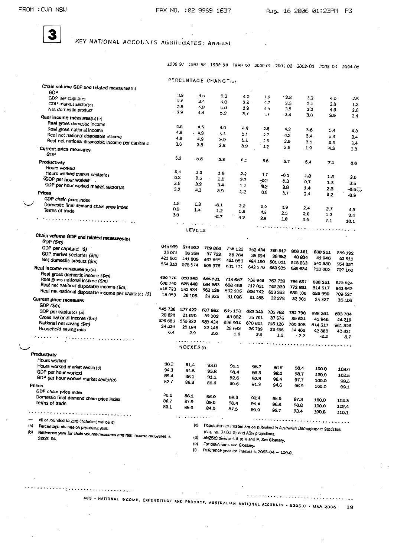$\mathcal{A}$ 

3

 $\sim$   $\sim$   $\sim$ 

. . . . . . . . <u>. .</u> .

## KEY NATIONAL ACCOUNTS AGGREGATES: Annual

|                     |                                                                                  |                    |                           |                       |                               |                                              |                   | 1996 97 1997 98 1998 99 1999 00 2000-01 2001 02 2002 03                    |                    | 2003-04 2004-05    |
|---------------------|----------------------------------------------------------------------------------|--------------------|---------------------------|-----------------------|-------------------------------|----------------------------------------------|-------------------|----------------------------------------------------------------------------|--------------------|--------------------|
|                     |                                                                                  |                    |                           | PERCLNTAGE CHANGE(a)  |                               |                                              |                   |                                                                            |                    |                    |
|                     | Chain volume GDP and related measures(b)                                         |                    |                           |                       |                               |                                              |                   |                                                                            |                    |                    |
|                     | GOP                                                                              |                    | 39                        | د.4                   | 5.2                           | 40                                           | 1, 9<br>- 3.8     |                                                                            |                    |                    |
|                     | CDP per capitato)<br>GDP market sector(d)                                        |                    | 2.6                       | 3.1                   | 4.0                           | $2.8 -$                                      | 0.7<br>2.5        | 3.2<br>2.1                                                                 | 4.0<br>2.8         | 2.5                |
|                     | Net domestic product                                                             |                    | 7.5                       | 4.8                   | 5.0                           | 8.9                                          | 05<br>3.5         | 3.2                                                                        | 4.5                | 1.3<br>2.6         |
|                     |                                                                                  |                    | 3,9                       | 4.4                   | ъâ                            | 37                                           | 1.7<br>$-4$       | 3.0                                                                        | 3.9                | 2.4                |
|                     | Real income measures(b)(e)<br>Real gross domestic income                         |                    |                           |                       |                               |                                              |                   |                                                                            |                    |                    |
|                     | Real gross national income                                                       |                    | 4.6                       | 4.5                   | 4.0                           | 4.8                                          | 2.5<br>4.2        | 3.6                                                                        |                    |                    |
|                     | Real net national disposable income                                              |                    | 49<br>$-4.9$              |                       | 4.1                           | 5.1                                          | 2.7<br>42         | 3.4                                                                        | 5,4<br>5,4         | 4.3<br>3.4         |
|                     | Real net national disposable income per capita(c)                                |                    | 4.9                       | 4.9                   | 3.9                           | 5.1                                          | 2.5<br>3.9        | 3.1                                                                        | 5.5                | 3.4                |
|                     | Current price measures                                                           |                    | 3.6                       | 3.8                   | 2.8                           | 39<br>1.2                                    | 2.6               | 1.9                                                                        | 4,3                | 2.3                |
|                     | <b>GDP</b>                                                                       |                    |                           |                       |                               |                                              |                   |                                                                            |                    |                    |
|                     | Productivity                                                                     |                    | 5.3                       | 3.6                   | 5.3                           | 6.1<br>6.6                                   | 6.7               | 6.4                                                                        | 7.1                | 6.6                |
|                     | Hours worked                                                                     |                    |                           |                       |                               |                                              |                   |                                                                            |                    |                    |
|                     | Hours worked market sector(d)                                                    | 0.4                | 1.3                       |                       | 1.8                           | 2.2<br>1.7                                   | -0.1              | 1.8                                                                        | 1.6                |                    |
|                     | <b><i>EGDP per hour worked</i></b>                                               | oэ<br>3.5          | 0.5                       | 1.1                   |                               | 2.7<br>$-0.2$                                | 0.3               | 0.7                                                                        | 1.3                | 3.0<br>35          |
|                     | GDP per hour worked market sector(a)                                             | 3.2                | 32                        | 3.4                   | 1.7                           | 02                                           | 3.9               | 1.4                                                                        | 23                 | $-0.5$             |
|                     | Prices                                                                           |                    | 4,3                       | 3.9                   | 1,2                           | 0.6                                          | 3,7               | 2.4                                                                        | 3,2                | -0.9               |
|                     | GDP chain price index                                                            | 1.5                |                           |                       |                               |                                              |                   |                                                                            |                    |                    |
|                     | Domestic final demand chain price index                                          | 0,9                | 1.3                       | $-0.1$                | 2.2                           | 5.0                                          | 2.9               | 2.4                                                                        | 2.7                | 4.3                |
|                     | Terms of trace                                                                   | 3.0                | 1.4                       | 1.2                   | 1.5                           | 4.5                                          | 2.5               | 2.0                                                                        | 1.2                | 2.4                |
|                     | والمستخدمة ومنابه والمتحاسمة والاستجابة                                          |                    |                           | $-5.7$                | 4.2                           | 2.8                                          | 18                | 1.9                                                                        | 7.1                | 10.1               |
|                     |                                                                                  |                    | $\lambda$ , and $\lambda$ | $\sim 10$             |                               |                                              |                   | . <u>.</u>                                                                 |                    |                    |
|                     |                                                                                  |                    | LEVELS                    |                       |                               |                                              |                   |                                                                            |                    |                    |
|                     | Chain volume GDP and related measures(b)<br>GDP (\$m)                            |                    |                           |                       |                               |                                              |                   | $\sim$                                                                     |                    |                    |
|                     | GDP per capita(c) (\$)                                                           | 645 999            | 674 932                   | 709 866               | /38 123                       |                                              |                   |                                                                            |                    |                    |
|                     | GDP market sector(d) (\$m)                                                       | 35071              | 36 259                    | 37722                 | 38 764                        | 752 434<br>39.024                            | 780 817           | 806 161                                                                    | 836 251            | 859 192            |
|                     | Net domestic product (\$m)                                                       | 421 601            | 441 609                   | 463 855               | 481 959                       | 484 190                                      | 39 982<br>501 011 | 40804                                                                      | 41 94 6            | 42 511             |
|                     | Real income measures(b)(e)                                                       | 554 310            | 578574                    | 609 376               | 631 771                       | 642 270                                      | 663 935           | 516 953<br>683 634                                                         | 540 330            | 554 357            |
|                     | Real gross domestic income (\$m)                                                 |                    |                           |                       |                               |                                              |                   |                                                                            | 110 002            | 727 100            |
|                     | Real gross national income (\$m)                                                 | 630776             | 658 985                   | 685 531               | 718 687                       | 736 949                                      | 767 733           | 795 667                                                                    |                    |                    |
|                     | Real net national disposable income (\$m)                                        | <b>GOB 740</b>     | 638 448                   | 664 863               | 698 469                       | 717031                                       | 747 330           | 772 891                                                                    | 836 251<br>814 517 | 873924             |
|                     | Real net national disposable income per capita(c) (\$)                           | 516720<br>28 053   | 541 834                   | 563 129               | 502 105                       | 606 742                                      | 630 352           | 650 103                                                                    | 685 999            | 841 952<br>709 527 |
|                     | Current price measures                                                           |                    | 29 108                    | 29925                 | 31 096                        |                                              | 31 468 32 278     | 32 905                                                                     | 34 327             | 35 106             |
|                     | GDP(5m)                                                                          |                    |                           |                       |                               |                                              |                   |                                                                            |                    |                    |
|                     | GDP per capita(c) (\$)                                                           | 545 736            | 577 422                   | FD7 863               | 645.153                       | 689 340                                      | 735 783           | 782798                                                                     | 828 251            | 693704             |
|                     | Gross national income (\$m)                                                      | 29.628<br>526 58 L | 31000                     | 32, 302               | 33 892                        | -15 751                                      | 37 676            | 39 621                                                                     | 41946              | 44 219             |
|                     | National net saving (\$m)                                                        | 24 329             | 559 332<br>25 194         | 589 434               | 626 904                       | 670 603                                      | 716 120           | 760 308                                                                    | 814517             | 861325             |
|                     | Household saving ratio                                                           | 6.4                | 2.9                       | 22 146<br>2.0         | 28 693<br>1.9                 | 26 709                                       | 32456             | 34 403                                                                     | 42 383             | 40 431             |
|                     | me e de la para la para la para la para la                                       |                    |                           |                       |                               | 2.5                                          | 1.3               | $-2.2$                                                                     | $-3.2$             | $-3.7$             |
|                     |                                                                                  |                    | .<br>INDEXES (f)          |                       |                               | . <b>.</b>                                   |                   |                                                                            |                    |                    |
|                     |                                                                                  |                    |                           |                       |                               |                                              |                   |                                                                            |                    |                    |
|                     | Productivity<br>Hours worked                                                     |                    |                           |                       |                               |                                              |                   |                                                                            |                    |                    |
|                     | Hours worked market sector(d)                                                    | 90.3               | 91.4                      | 93.0                  | 95.1                          | 96.7                                         |                   |                                                                            |                    |                    |
|                     | GDP per hour worked                                                              | 94.3               | 94.B                      | 95.R                  | 9.9.4                         | 98.3                                         | 96.6<br>98.0      | 98.4                                                                       | 100.0              | 103.0              |
|                     | GDP per hour worked market sector(o)                                             | 85.4               | 88.1                      | 91.1                  | 92.6                          | 92.8                                         | 96,4              | 98.7<br>97.7                                                               | 100.0              | 103.5              |
|                     | Prices                                                                           | 82.7               | 36.3                      | 89.6                  | 90.6                          | 91.2                                         | 94.6              | 96.9                                                                       | 100.0<br>100.0     | 99,5               |
|                     | GDP chain price index                                                            |                    |                           |                       |                               |                                              |                   |                                                                            |                    | 99.1               |
|                     | Domestic final demand chain price index                                          | 85.0               | 86.1                      | 86.O                  | 88.O                          | 92.4                                         | 95.D              | 97.3                                                                       | 100.0              |                    |
|                     | Terms of trade                                                                   | 86.7               | 87.9                      | 89.0                  | 90.4                          | 94 a                                         | 96.B              | 98.8                                                                       | 100.0              | 104.3<br>102.4     |
|                     |                                                                                  | 89.1               | H9.0                      | 84.0                  | 87.5                          | 90.0                                         | 91.7              | 93,4                                                                       | 100.0              | 110.1              |
|                     |                                                                                  |                    |                           | والمرابي وبالمستسقينة |                               |                                              |                   |                                                                            |                    |                    |
| $\{\triangle\}$     | nil or rounded to zero (including null cells)                                    |                    | $\left( \circ \right)$    |                       |                               |                                              |                   |                                                                            |                    |                    |
| $\langle 0 \rangle$ | Percentage change on preceding year.                                             |                    |                           |                       |                               | (GIL ho. 3101.0) and ABS projections.        |                   | Population estimates are as published in Australian Demographic Statistics |                    |                    |
|                     | Reference year for chain volume measures and real income measures is<br>2003 04. |                    | (d)                       |                       |                               | ANZSIC divisions A to K and P. See Glossary. |                   |                                                                            |                    |                    |
|                     |                                                                                  |                    | (e)                       |                       | For definitions sen Glossary. |                                              |                   |                                                                            |                    |                    |
|                     |                                                                                  |                    | $\omega$                  |                       |                               | Reference your for indexes in 2002 As        |                   |                                                                            |                    |                    |

Réference ynor for indexes is 2003-04 - 100.0.

19

A85 • NATIONAL INCOME, EXPENDITURE AND PRODUCT, AUSTRALIAN NATIONAL ACCOUNTS • 5206.0 • MAR 2006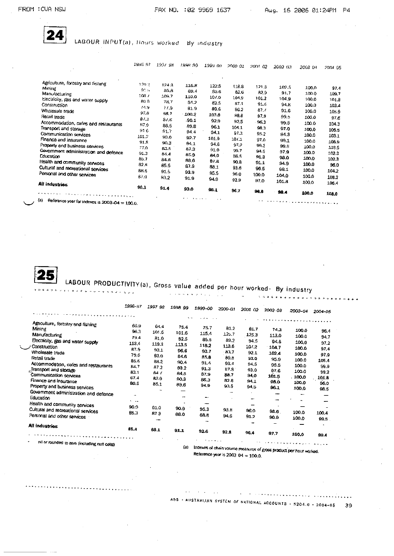

LABOUR INPUT(a), Hours worked By industry

|                                                       | 1996 97 | 1997-98 | 1998-99      | 1999 DD            | 2000-01 | 2001-02 | 2002 03 | 2003 0-1 | 2004-05 |
|-------------------------------------------------------|---------|---------|--------------|--------------------|---------|---------|---------|----------|---------|
| Agriculture, forestry and fishing                     |         |         |              |                    |         |         |         |          |         |
| Moting                                                | 120.2   | 124.3   | 116.8        | 122.5              | 0.18.8  | 121.8   | 102.5   | 100.0    | 97.4    |
| Manufacturing                                         | 91%     | 8.03    | 69.4         | 83.6               | 8.6     | 82.9    | 91.7    | 100.0    | 109.7   |
| Electricity, gas and water supply                     | 10R/    | 10.7    | 110.0        | 107.0              | 104.9   | 101.2   | 104.9   | 100.0    | 101.8   |
| Construction                                          | 80 O    | 78.7    | 84.2         | 82.5               | 87.1    | 91.6    | 94.R    | 100.0    | 103.4   |
| Wholesale trade                                       | 14.9    | 11.9    | 81.9         | 89.6               | 86.2    | 87.7    | 91.6    | 100.0    | 105.9   |
| Retail trade                                          | 97.0    | 98.7    | <b>100.2</b> | 10.1.8             | 98.8    | 97.9    | 99.5    | 100.0    |         |
| Accommodation, cafes and restaurants                  | 87.3    | 87.6    | .90.1        | 92.9               | 92.5    | 96.3    | 99.5    | 100.0    | 97.5    |
| Transport and storage                                 | 87.9    | 83.5    | 89.8         | 96.1               | 104.1   | 98.3    | 97.0    |          | 104.3   |
| Communication services                                | 916     | 91.7    | 94.4         | 94.1               | 97.3    | 95.2    | 94.3    | 100,0    | 105.5   |
| Finance and insurance                                 | 101.2   | 90.0    | 92.7         | 101.9              | 101.1   | 97.0    | 99.1    | 100.0    | 103.1   |
| Property and business services                        | 91.8    | 90,3    | 94.1         | 94.6               | 97.2    | 99.3    | 99.6    | 100.0    | 108.9   |
| Government administration and defence                 | 770     | 83.5    | 87.3         | 91.0               | 99.7    | 94.5    | 97.9    | 100.0    | 103.5   |
| Education                                             | 91.3    | 84.4    | 85.9         | 84.0               | 36.5    | 91.3    | 98.0    | 100.0    | 102.3   |
| Health and community services                         | 85.7    | 84 S    | 986          | 87 B               | 90.8    | 91.1    | 94.9    | 100,0    | 102.3   |
| Cultural and recreational services                    | 82.R    | 85.5    | 87.9         | 98.1               | 93.8    | 96.5    |         | 100.0    | 96.0    |
| Personal and other services                           | 88 G    | 91.5    | 93.9         | 95.5               | 96.0    | 100.0   | 98.1    | 100.0    | 104.2   |
|                                                       | 87 a    | 93.2    | 91.9         | 94.9               | 92.9    |         | 104.0   | 100.0    | 108.2   |
| All industries                                        |         |         |              |                    |         | 97.0    | 101.8   | 100.0    | 106.4   |
|                                                       | 90.3    | 91.4    | 93.0         | 95.1               | 96.7    | 96.6    | 98.4    | 100.0    | 103.0   |
| (a)<br>Reference year for indexes is 2003-04 = 100.0. |         |         | $1 + 1$      | $\cdots$<br>$\sim$ |         |         |         |          |         |

LABOUR PRODUCTIVITY(a), Gross value added per hour worked- By industry

|                                              |                           | <b>DY INQUSTRY</b>       |         |                                                          |                          |         |         |         |         |  |  |
|----------------------------------------------|---------------------------|--------------------------|---------|----------------------------------------------------------|--------------------------|---------|---------|---------|---------|--|--|
|                                              |                           |                          |         | a communication of the community of                      | $\ddot{\phantom{1}}$     |         |         |         |         |  |  |
|                                              | 1996-97                   | 1997 98                  | 1998 99 | 1999-00                                                  | 2000-01                  | 2001 02 | 2002-03 | 2003-04 | 2004-05 |  |  |
|                                              |                           |                          |         |                                                          |                          |         |         |         |         |  |  |
|                                              |                           |                          | 2.14    | $\sim$ $\sim$                                            |                          |         |         |         |         |  |  |
| Agnoulture, forestry and fishing             | 66 9                      | 64.4                     | 75.4    | 75.7                                                     |                          |         |         |         |         |  |  |
| Mining                                       | 96.3                      | 101.5                    | 101.6   |                                                          | 81.2                     | 81.7    | 74.3    | 100.0   | 96.4    |  |  |
| Manufacturing                                | 79.4                      | 31.0                     |         | 115.4                                                    | 125.7                    | 125.3   | 113.0   | 100.0   | 94.7    |  |  |
| Electricity, gas and water supply            | 113.4                     |                          | 82.5    | 85.5                                                     | 89.2                     | 94.5    | 94.5    | 100.0   | 97.2    |  |  |
| Construction                                 |                           | 119.3                    | 113.5   | 118.2                                                    | 113.6                    | 10/2    | 104.7   | 100.0   | 97,4    |  |  |
| Wholesale trade                              | 37.9                      | 93.1                     | 96.6    | 93.7                                                     | 83.7                     | 92.1    | 102.4   | 100.0   |         |  |  |
| Retail trade                                 | 79.6                      | 83.0                     | 84.6    | 85.9                                                     | 89.8                     | 93.0    | 95.9    |         | 97.9    |  |  |
| Accommodation, cafes and restaurants         | 85.6                      | 68.2                     | 90.4    | 91.1                                                     | 93.4                     | 94.5    | 95.5    | 100.0   | 105.4   |  |  |
| Transport and storage                        | 84.7                      | 87.2                     | 93.2    | 91.3                                                     | 87.9                     | 93.0    |         | 100.0   | 99.9    |  |  |
| Communication services                       | 83.1                      | 84 (                     | 84.5    | 87.9                                                     | 88.7                     | 94.0    | 97.6    | 100.0   | 59.2    |  |  |
| Finance and insurance                        | 67.4                      | 83.9                     | 90.3    | 86.3                                                     | 82.8                     | 94.1    | 101.5   | 100,0   | 101.8   |  |  |
|                                              | 80.5                      | 85.1                     | 89.6    | 94.9                                                     | 93.5                     |         | 98.0    | 100.0   | 96.0    |  |  |
| Property and business services               |                           |                          |         |                                                          |                          | 94.5    | 96.1    | 100,0   | 08.5    |  |  |
| Government administration and defence        | $\cdot\cdot$              |                          |         |                                                          | $\overline{\phantom{0}}$ |         |         | --      |         |  |  |
| Education                                    | $\mathbf{v} = \mathbf{v}$ |                          |         | <b></b>                                                  |                          |         | --      |         |         |  |  |
| Health and community services                | 90.9                      |                          |         | --                                                       |                          |         |         |         |         |  |  |
| Cultural and recreational services           | 85.1                      | 91,0                     | 90.9    | 95.3                                                     | 93.8                     | 96.0    | 98.G    | 100.0   | 100,4   |  |  |
| Personal and other services                  |                           | 873                      | 88.0    | <b>88.5</b>                                              | 94.6                     | 91.7    | 90.9    | 100,0   |         |  |  |
|                                              |                           | $\overline{\phantom{a}}$ |         |                                                          |                          | $-$     |         |         | 99.S    |  |  |
| <b>All industries</b>                        |                           |                          |         |                                                          |                          |         |         |         |         |  |  |
|                                              | 86.4                      | 88.1                     | 01.1    | 92.6                                                     | 92.8                     | 96.4    | 97.7    | 100.0   |         |  |  |
|                                              |                           |                          |         |                                                          |                          |         |         |         | 99.4    |  |  |
| nil or rounded to zem (including null cells) |                           |                          |         | $\alpha$ , and $\alpha$ , and $\alpha$                   |                          |         |         |         |         |  |  |
|                                              |                           |                          |         | $\mathbf{1}$ and $\mathbf{1}$ and $\mathbf{1}$<br>$\sim$ |                          |         |         |         |         |  |  |

(a) Indexes of chain volume measures of gross product per hour worked. Reference year is  $2003 - 04 = 100.0$ .

 $\ddot{a}$  , and the contract contract of the contract of the contract of the contract of the contract of the contract of the contract of the contract of the contract of the contract of the contract of the contract of the c ABS - AUSTRALIAN SYSTEM OF NATIONAL ACCOUNTS - 5204.0 - 2004-05 39